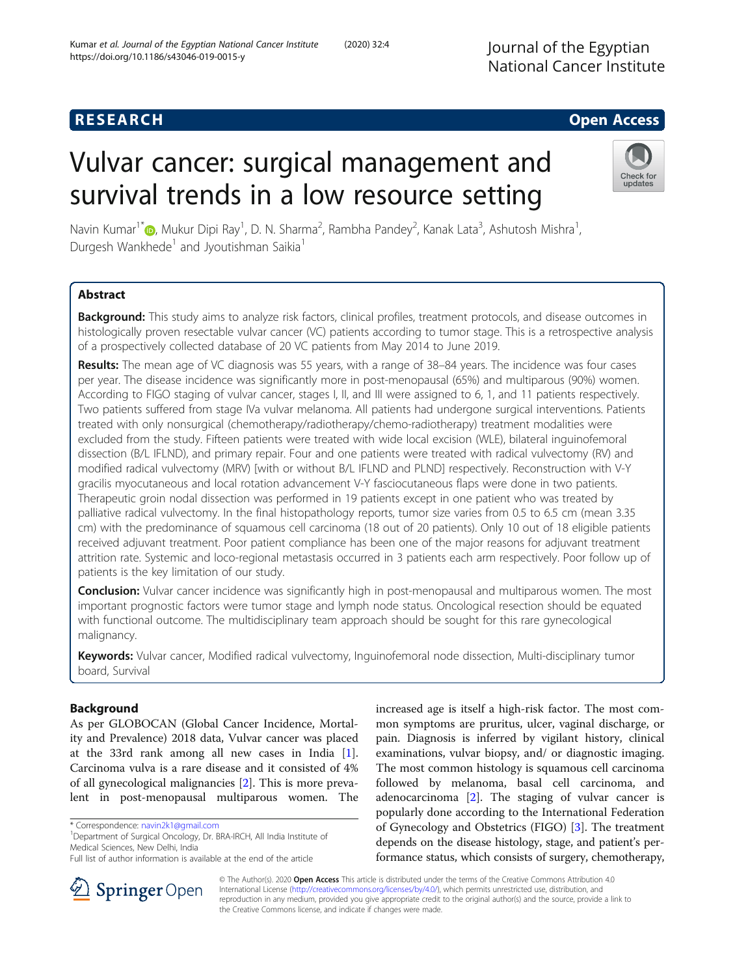## **RESEARCH CHE Open Access**

# Vulvar cancer: surgical management and survival trends in a low resource setting



Navin Kumar<sup>1[\\*](https://orcid.org/0000-0002-4059-8153)</sup> (@, Mukur Dipi Ray<sup>1</sup>, D. N. Sharma<sup>2</sup>, Rambha Pandey<sup>2</sup>, Kanak Lata<sup>3</sup>, Ashutosh Mishra<sup>1</sup> , Durgesh Wankhede<sup>1</sup> and Jyoutishman Saikia<sup>1</sup>

## Abstract

Background: This study aims to analyze risk factors, clinical profiles, treatment protocols, and disease outcomes in histologically proven resectable vulvar cancer (VC) patients according to tumor stage. This is a retrospective analysis of a prospectively collected database of 20 VC patients from May 2014 to June 2019.

Results: The mean age of VC diagnosis was 55 years, with a range of 38-84 years. The incidence was four cases per year. The disease incidence was significantly more in post-menopausal (65%) and multiparous (90%) women. According to FIGO staging of vulvar cancer, stages I, II, and III were assigned to 6, 1, and 11 patients respectively. Two patients suffered from stage IVa vulvar melanoma. All patients had undergone surgical interventions. Patients treated with only nonsurgical (chemotherapy/radiotherapy/chemo-radiotherapy) treatment modalities were excluded from the study. Fifteen patients were treated with wide local excision (WLE), bilateral inguinofemoral dissection (B/L IFLND), and primary repair. Four and one patients were treated with radical vulvectomy (RV) and modified radical vulvectomy (MRV) [with or without B/L IFLND and PLND] respectively. Reconstruction with V-Y gracilis myocutaneous and local rotation advancement V-Y fasciocutaneous flaps were done in two patients. Therapeutic groin nodal dissection was performed in 19 patients except in one patient who was treated by palliative radical vulvectomy. In the final histopathology reports, tumor size varies from 0.5 to 6.5 cm (mean 3.35 cm) with the predominance of squamous cell carcinoma (18 out of 20 patients). Only 10 out of 18 eligible patients received adjuvant treatment. Poor patient compliance has been one of the major reasons for adjuvant treatment attrition rate. Systemic and loco-regional metastasis occurred in 3 patients each arm respectively. Poor follow up of patients is the key limitation of our study.

**Conclusion:** Vulvar cancer incidence was significantly high in post-menopausal and multiparous women. The most important prognostic factors were tumor stage and lymph node status. Oncological resection should be equated with functional outcome. The multidisciplinary team approach should be sought for this rare gynecological malignancy.

Keywords: Vulvar cancer, Modified radical vulvectomy, Inguinofemoral node dissection, Multi-disciplinary tumor board, Survival

## Background

As per GLOBOCAN (Global Cancer Incidence, Mortality and Prevalence) 2018 data, Vulvar cancer was placed at the 33rd rank among all new cases in India [\[1](#page-5-0)]. Carcinoma vulva is a rare disease and it consisted of 4% of all gynecological malignancies [[2\]](#page-5-0). This is more prevalent in post-menopausal multiparous women. The

<sup>1</sup>Department of Surgical Oncology, Dr. BRA-IRCH, All India Institute of Medical Sciences, New Delhi, India

increased age is itself a high-risk factor. The most common symptoms are pruritus, ulcer, vaginal discharge, or pain. Diagnosis is inferred by vigilant history, clinical examinations, vulvar biopsy, and/ or diagnostic imaging. The most common histology is squamous cell carcinoma followed by melanoma, basal cell carcinoma, and adenocarcinoma [\[2\]](#page-5-0). The staging of vulvar cancer is popularly done according to the International Federation of Gynecology and Obstetrics (FIGO) [[3\]](#page-5-0). The treatment depends on the disease histology, stage, and patient's performance status, which consists of surgery, chemotherapy,



© The Author(s). 2020 Open Access This article is distributed under the terms of the Creative Commons Attribution 4.0 International License ([http://creativecommons.org/licenses/by/4.0/\)](http://creativecommons.org/licenses/by/4.0/), which permits unrestricted use, distribution, and reproduction in any medium, provided you give appropriate credit to the original author(s) and the source, provide a link to the Creative Commons license, and indicate if changes were made.

<sup>\*</sup> Correspondence: [navin2k1@gmail.com](mailto:navin2k1@gmail.com) <sup>1</sup>

Full list of author information is available at the end of the article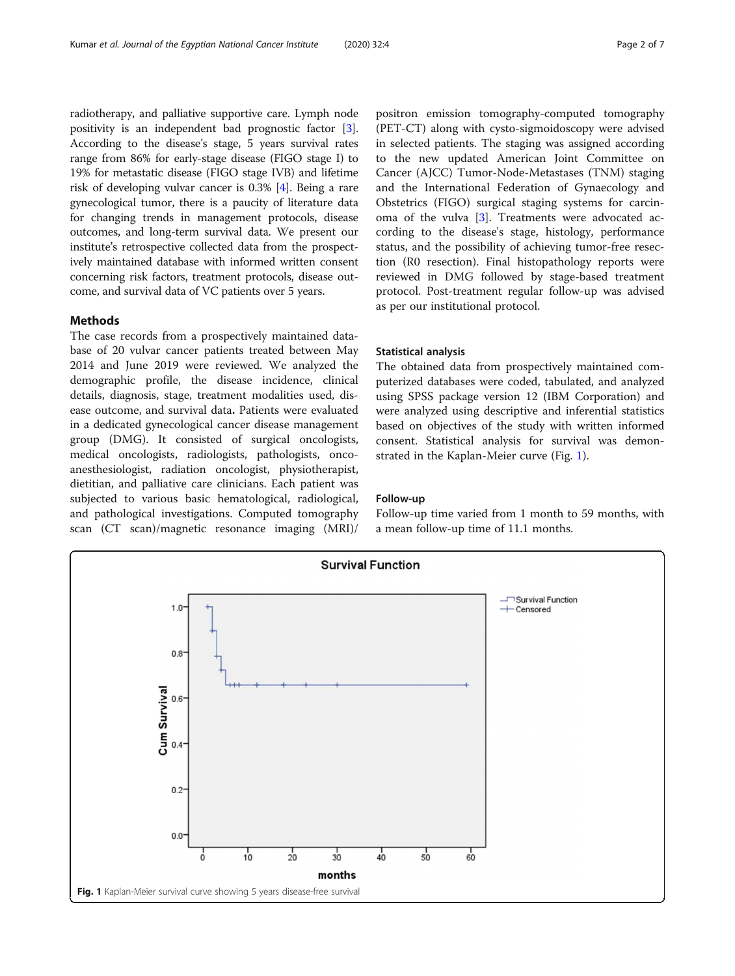<span id="page-1-0"></span>radiotherapy, and palliative supportive care. Lymph node positivity is an independent bad prognostic factor [[3](#page-5-0)]. According to the disease's stage, 5 years survival rates range from 86% for early-stage disease (FIGO stage I) to 19% for metastatic disease (FIGO stage IVB) and lifetime risk of developing vulvar cancer is 0.3% [[4\]](#page-5-0). Being a rare gynecological tumor, there is a paucity of literature data for changing trends in management protocols, disease outcomes, and long-term survival data. We present our institute's retrospective collected data from the prospectively maintained database with informed written consent concerning risk factors, treatment protocols, disease outcome, and survival data of VC patients over 5 years.

#### Methods

The case records from a prospectively maintained database of 20 vulvar cancer patients treated between May 2014 and June 2019 were reviewed. We analyzed the demographic profile, the disease incidence, clinical details, diagnosis, stage, treatment modalities used, disease outcome, and survival data. Patients were evaluated in a dedicated gynecological cancer disease management group (DMG). It consisted of surgical oncologists, medical oncologists, radiologists, pathologists, oncoanesthesiologist, radiation oncologist, physiotherapist, dietitian, and palliative care clinicians. Each patient was subjected to various basic hematological, radiological, and pathological investigations. Computed tomography scan (CT scan)/magnetic resonance imaging (MRI)/ positron emission tomography-computed tomography (PET-CT) along with cysto-sigmoidoscopy were advised in selected patients. The staging was assigned according to the new updated American Joint Committee on Cancer (AJCC) Tumor-Node-Metastases (TNM) staging and the International Federation of Gynaecology and Obstetrics (FIGO) surgical staging systems for carcinoma of the vulva [\[3](#page-5-0)]. Treatments were advocated according to the disease's stage, histology, performance status, and the possibility of achieving tumor-free resection (R0 resection). Final histopathology reports were reviewed in DMG followed by stage-based treatment protocol. Post-treatment regular follow-up was advised as per our institutional protocol.

#### Statistical analysis

The obtained data from prospectively maintained computerized databases were coded, tabulated, and analyzed using SPSS package version 12 (IBM Corporation) and were analyzed using descriptive and inferential statistics based on objectives of the study with written informed consent. Statistical analysis for survival was demonstrated in the Kaplan-Meier curve (Fig. 1).

#### Follow-up

Follow-up time varied from 1 month to 59 months, with a mean follow-up time of 11.1 months.

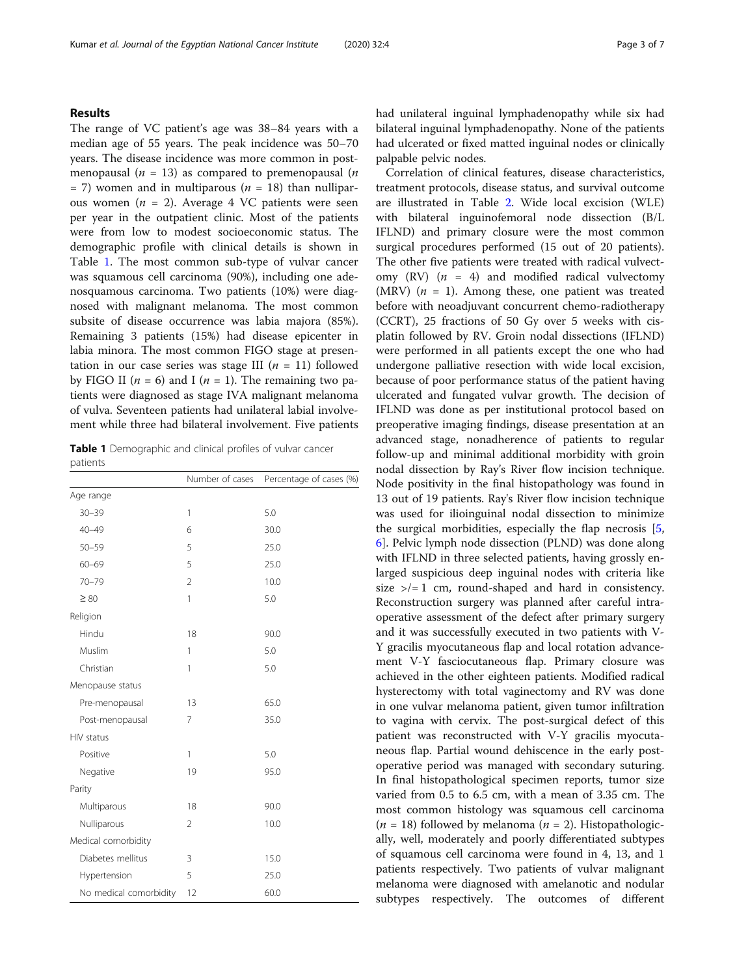## Results

The range of VC patient's age was 38–84 years with a median age of 55 years. The peak incidence was 50–70 years. The disease incidence was more common in postmenopausal ( $n = 13$ ) as compared to premenopausal ( $n$  $=$  7) women and in multiparous ( $n = 18$ ) than nulliparous women ( $n = 2$ ). Average 4 VC patients were seen per year in the outpatient clinic. Most of the patients were from low to modest socioeconomic status. The demographic profile with clinical details is shown in Table 1. The most common sub-type of vulvar cancer was squamous cell carcinoma (90%), including one adenosquamous carcinoma. Two patients (10%) were diagnosed with malignant melanoma. The most common subsite of disease occurrence was labia majora (85%). Remaining 3 patients (15%) had disease epicenter in labia minora. The most common FIGO stage at presentation in our case series was stage III ( $n = 11$ ) followed by FIGO II ( $n = 6$ ) and I ( $n = 1$ ). The remaining two patients were diagnosed as stage IVA malignant melanoma of vulva. Seventeen patients had unilateral labial involvement while three had bilateral involvement. Five patients

Table 1 Demographic and clinical profiles of vulvar cancer patients

|                        | Number of cases | Percentage of cases (%) |
|------------------------|-----------------|-------------------------|
| Age range              |                 |                         |
| $30 - 39$              | $\mathbf{1}$    | 5.0                     |
| $40 - 49$              | 6               | 30.0                    |
| $50 - 59$              | 5               | 25.0                    |
| $60 - 69$              | 5               | 25.0                    |
| $70 - 79$              | $\overline{2}$  | 10.0                    |
| $\geq 80$              | 1               | 5.0                     |
| Religion               |                 |                         |
| Hindu                  | 18              | 90.0                    |
| Muslim                 | 1               | 5.0                     |
| Christian              | 1               | 5.0                     |
| Menopause status       |                 |                         |
| Pre-menopausal         | 13              | 65.0                    |
| Post-menopausal        | $\overline{7}$  | 35.0                    |
| HIV status             |                 |                         |
| Positive               | 1               | 5.0                     |
| Negative               | 19              | 95.0                    |
| Parity                 |                 |                         |
| Multiparous            | 18              | 90.0                    |
| Nulliparous            | $\overline{2}$  | 10.0                    |
| Medical comorbidity    |                 |                         |
| Diabetes mellitus      | 3               | 15.0                    |
| Hypertension           | 5               | 25.0                    |
| No medical comorbidity | 12              | 60.0                    |

had unilateral inguinal lymphadenopathy while six had bilateral inguinal lymphadenopathy. None of the patients had ulcerated or fixed matted inguinal nodes or clinically palpable pelvic nodes.

Correlation of clinical features, disease characteristics, treatment protocols, disease status, and survival outcome are illustrated in Table [2](#page-3-0). Wide local excision (WLE) with bilateral inguinofemoral node dissection (B/L IFLND) and primary closure were the most common surgical procedures performed (15 out of 20 patients). The other five patients were treated with radical vulvectomy  $(RV)$   $(n = 4)$  and modified radical vulvectomy (MRV)  $(n = 1)$ . Among these, one patient was treated before with neoadjuvant concurrent chemo-radiotherapy (CCRT), 25 fractions of 50 Gy over 5 weeks with cisplatin followed by RV. Groin nodal dissections (IFLND) were performed in all patients except the one who had undergone palliative resection with wide local excision, because of poor performance status of the patient having ulcerated and fungated vulvar growth. The decision of IFLND was done as per institutional protocol based on preoperative imaging findings, disease presentation at an advanced stage, nonadherence of patients to regular follow-up and minimal additional morbidity with groin nodal dissection by Ray's River flow incision technique. Node positivity in the final histopathology was found in 13 out of 19 patients. Ray's River flow incision technique was used for ilioinguinal nodal dissection to minimize the surgical morbidities, especially the flap necrosis [[5](#page-5-0), [6\]](#page-5-0). Pelvic lymph node dissection (PLND) was done along with IFLND in three selected patients, having grossly enlarged suspicious deep inguinal nodes with criteria like size  $\ge$ /= 1 cm, round-shaped and hard in consistency. Reconstruction surgery was planned after careful intraoperative assessment of the defect after primary surgery and it was successfully executed in two patients with V-Y gracilis myocutaneous flap and local rotation advancement V-Y fasciocutaneous flap. Primary closure was achieved in the other eighteen patients. Modified radical hysterectomy with total vaginectomy and RV was done in one vulvar melanoma patient, given tumor infiltration to vagina with cervix. The post-surgical defect of this patient was reconstructed with V-Y gracilis myocutaneous flap. Partial wound dehiscence in the early postoperative period was managed with secondary suturing. In final histopathological specimen reports, tumor size varied from 0.5 to 6.5 cm, with a mean of 3.35 cm. The most common histology was squamous cell carcinoma ( $n = 18$ ) followed by melanoma ( $n = 2$ ). Histopathologically, well, moderately and poorly differentiated subtypes of squamous cell carcinoma were found in 4, 13, and 1 patients respectively. Two patients of vulvar malignant melanoma were diagnosed with amelanotic and nodular subtypes respectively. The outcomes of different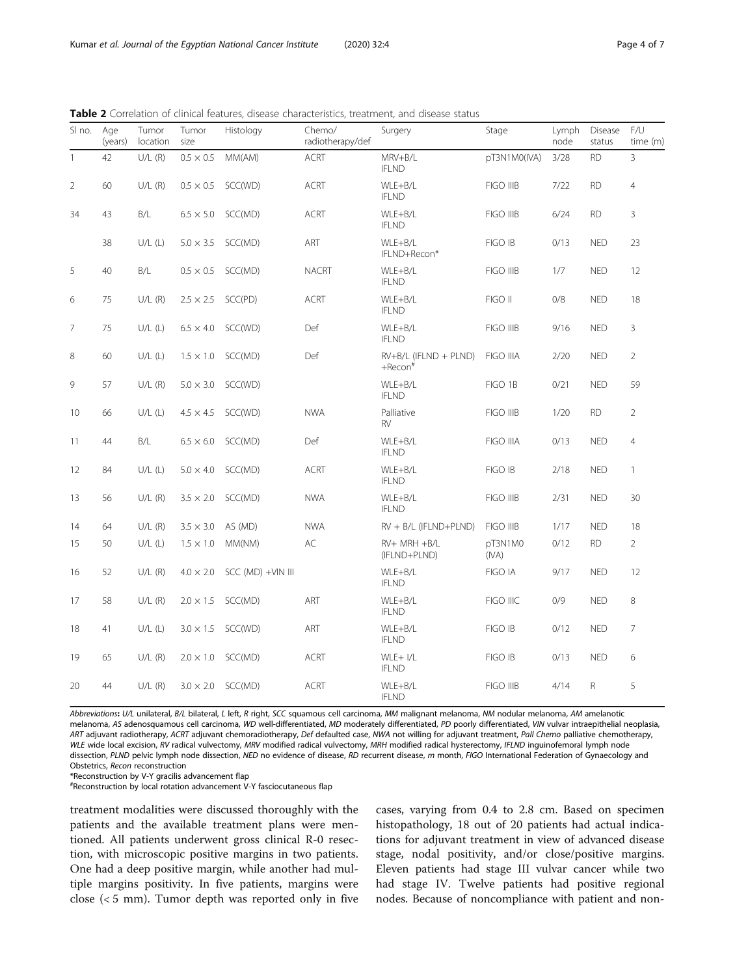| SI no.         | Age<br>(years) | Tumor<br>location | Tumor<br>size    | Histology         | Chemo/<br>radiotherapy/def | Surgery                                  | Stage            | Lymph<br>node | Disease<br>status | F/U<br>time (m) |
|----------------|----------------|-------------------|------------------|-------------------|----------------------------|------------------------------------------|------------------|---------------|-------------------|-----------------|
| $\overline{1}$ | 42             | $U/L$ (R)         | $0.5 \times 0.5$ | MM(AM)            | <b>ACRT</b>                | MRV+B/L<br><b>IFLND</b>                  | pT3N1M0(IVA)     | 3/28          | <b>RD</b>         | $\overline{3}$  |
| $\overline{2}$ | 60             | U/L(R)            | $0.5 \times 0.5$ | SCC(WD)           | <b>ACRT</b>                | WLE+B/L<br><b>IFLND</b>                  | FIGO IIIB        | 7/22          | <b>RD</b>         | $\overline{4}$  |
| 34             | 43             | B/L               | $6.5 \times 5.0$ | SCC(MD)           | <b>ACRT</b>                | WLE+B/L<br><b>IFLND</b>                  | <b>FIGO IIIB</b> | 6/24          | <b>RD</b>         | 3               |
|                | 38             | U/L(L)            | $5.0 \times 3.5$ | SCC(MD)           | ART                        | WLE+B/L<br>IFLND+Recon*                  | FIGO IB          | 0/13          | <b>NED</b>        | 23              |
| 5              | 40             | B/L               | $0.5 \times 0.5$ | SCC(MD)           | <b>NACRT</b>               | WLE+B/L<br><b>IFLND</b>                  | FIGO IIIB        | 1/7           | <b>NED</b>        | 12              |
| 6              | 75             | U/L(R)            | $2.5 \times 2.5$ | SCC(PD)           | <b>ACRT</b>                | WLE+B/L<br><b>IFLND</b>                  | FIGO II          | 0/8           | <b>NED</b>        | 18              |
| $\overline{7}$ | 75             | U/L(L)            | $6.5 \times 4.0$ | SCC(WD)           | Def                        | WLE+B/L<br><b>IFLND</b>                  | <b>FIGO IIIB</b> | 9/16          | <b>NED</b>        | 3               |
| 8              | 60             | U/L(L)            | $1.5 \times 1.0$ | SCC(MD)           | Def                        | $RV+B/L$ (IFLND + PLND)<br>$+$ Recon $*$ | FIGO IIIA        | 2/20          | <b>NED</b>        | $\overline{2}$  |
| 9              | 57             | U/L(R)            | $5.0 \times 3.0$ | SCC(WD)           |                            | WLE+B/L<br><b>IFLND</b>                  | FIGO 1B          | 0/21          | <b>NED</b>        | 59              |
| 10             | 66             | U/L(L)            | $4.5 \times 4.5$ | SCC(WD)           | <b>NWA</b>                 | Palliative<br><b>RV</b>                  | <b>FIGO IIIB</b> | 1/20          | <b>RD</b>         | $\overline{2}$  |
| 11             | 44             | B/L               | $6.5 \times 6.0$ | SCC(MD)           | Def                        | WLE+B/L<br><b>IFLND</b>                  | FIGO IIIA        | 0/13          | <b>NED</b>        | $\overline{4}$  |
| 12             | 84             | U/L(L)            | $5.0 \times 4.0$ | SCC(MD)           | <b>ACRT</b>                | WLE+B/L<br><b>IFLND</b>                  | FIGO IB          | 2/18          | <b>NED</b>        | $\mathbf{1}$    |
| 13             | 56             | U/L(R)            | $3.5 \times 2.0$ | SCC(MD)           | <b>NWA</b>                 | WLE+B/L<br><b>IFLND</b>                  | FIGO IIIB        | 2/31          | <b>NED</b>        | 30              |
| 14             | 64             | $U/L$ (R)         | $3.5 \times 3.0$ | AS (MD)           | <b>NWA</b>                 | RV + B/L (IFLND+PLND)                    | FIGO IIIB        | 1/17          | <b>NED</b>        | 18              |
| 15             | 50             | U/L(L)            | $1.5 \times 1.0$ | MM(NM)            | AC                         | RV+ MRH +B/L<br>(IFLND+PLND)             | pT3N1M0<br>(IVA) | 0/12          | <b>RD</b>         | $\overline{2}$  |
| 16             | 52             | U/L(R)            | $4.0 \times 2.0$ | SCC (MD) +VIN III |                            | WLE+B/L<br><b>IFLND</b>                  | FIGO IA          | 9/17          | <b>NED</b>        | 12              |
| 17             | 58             | U/L(R)            | $2.0 \times 1.5$ | SCC(MD)           | ART                        | WLE+B/L<br><b>IFLND</b>                  | FIGO IIIC        | 0/9           | <b>NED</b>        | 8               |
| 18             | 41             | U/L(L)            | $3.0 \times 1.5$ | SCC(WD)           | ART                        | WLE+B/L<br><b>IFLND</b>                  | FIGO IB          | 0/12          | <b>NED</b>        | $\overline{7}$  |
| 19             | 65             | U/L(R)            | $2.0 \times 1.0$ | SCC(MD)           | <b>ACRT</b>                | WLE+ I/L<br><b>IFLND</b>                 | FIGO IB          | 0/13          | <b>NED</b>        | 6               |
| 20             | 44             | U/L(R)            | $3.0 \times 2.0$ | SCC(MD)           | <b>ACRT</b>                | WLE+B/L<br><b>IFLND</b>                  | <b>FIGO IIIB</b> | 4/14          | R                 | 5               |

<span id="page-3-0"></span>Table 2 Correlation of clinical features, disease characteristics, treatment, and disease status

Abbreviations: U/L unilateral, B/L bilateral, L left, R right, SCC squamous cell carcinoma, MM malignant melanoma, NM nodular melanoma, AM amelanotic melanoma, AS adenosquamous cell carcinoma, WD well-differentiated, MD moderately differentiated, PD poorly differentiated, VIN vulvar intraepithelial neoplasia, ART adjuvant radiotherapy, ACRT adjuvant chemoradiotherapy, Def defaulted case, NWA not willing for adjuvant treatment, Pall Chemo palliative chemotherapy, WLE wide local excision, RV radical vulvectomy, MRV modified radical vulvectomy, MRH modified radical hysterectomy, IFLND inguinofemoral lymph node dissection, PLND pelvic lymph node dissection, NED no evidence of disease, RD recurrent disease, m month, FIGO International Federation of Gynaecology and Obstetrics, Recon reconstruction

\*Reconstruction by V-Y gracilis advancement flap

# Reconstruction by local rotation advancement V-Y fasciocutaneous flap

treatment modalities were discussed thoroughly with the patients and the available treatment plans were mentioned. All patients underwent gross clinical R-0 resection, with microscopic positive margins in two patients. One had a deep positive margin, while another had multiple margins positivity. In five patients, margins were close  $\left($  < 5 mm). Tumor depth was reported only in five

cases, varying from 0.4 to 2.8 cm. Based on specimen histopathology, 18 out of 20 patients had actual indications for adjuvant treatment in view of advanced disease stage, nodal positivity, and/or close/positive margins. Eleven patients had stage III vulvar cancer while two had stage IV. Twelve patients had positive regional nodes. Because of noncompliance with patient and non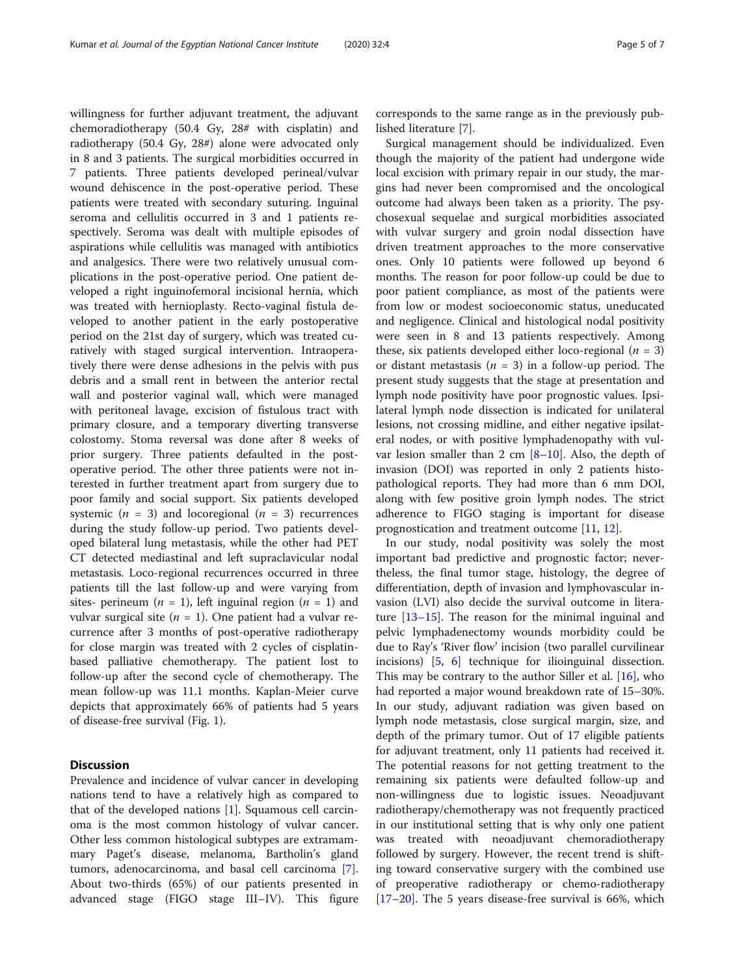willingness for further adjuvant treatment, the adjuvant chemoradiotherapy (50.4 Gy, 28# with cisplatin) and radiotherapy (50.4 Gy, 28#) alone were advocated only in 8 and 3 patients. The surgical morbidities occurred in 7 patients. Three patients developed perineal/vulvar wound dehiscence in the post-operative period. These patients were treated with secondary suturing. Inguinal seroma and cellulitis occurred in 3 and 1 patients respectively. Seroma was dealt with multiple episodes of aspirations while cellulitis was managed with antibiotics and analgesics. There were two relatively unusual complications in the post-operative period. One patient developed a right inguinofemoral incisional hernia, which was treated with hernioplasty. Recto-vaginal fistula developed to another patient in the early postoperative period on the 21st day of surgery, which was treated curatively with staged surgical intervention. Intraoperatively there were dense adhesions in the pelvis with pus debris and a small rent in between the anterior rectal wall and posterior vaginal wall, which were managed with peritoneal lavage, excision of fistulous tract with primary closure, and a temporary diverting transverse colostomy. Stoma reversal was done after 8 weeks of prior surgery. Three patients defaulted in the postoperative period. The other three patients were not interested in further treatment apart from surgery due to poor family and social support. Six patients developed systemic ( $n = 3$ ) and locoregional ( $n = 3$ ) recurrences during the study follow-up period. Two patients developed bilateral lung metastasis, while the other had PET CT detected mediastinal and left supraclavicular nodal metastasis. Loco-regional recurrences occurred in three patients till the last follow-up and were varying from sites- perineum ( $n = 1$ ), left inguinal region ( $n = 1$ ) and vulvar surgical site ( $n = 1$ ). One patient had a vulvar recurrence after 3 months of post-operative radiotherapy for close margin was treated with 2 cycles of cisplatinbased palliative chemotherapy. The patient lost to follow-up after the second cycle of chemotherapy. The mean follow-up was 11.1 months. Kaplan-Meier curve depicts that approximately 66% of patients had 5 years of disease-free survival (Fig. [1\)](#page-1-0).

## **Discussion**

Prevalence and incidence of vulvar cancer in developing nations tend to have a relatively high as compared to that of the developed nations [\[1](#page-5-0)]. Squamous cell carcinoma is the most common histology of vulvar cancer. Other less common histological subtypes are extramammary Paget's disease, melanoma, Bartholin's gland tumors, adenocarcinoma, and basal cell carcinoma [\[7](#page-5-0)]. About two-thirds (65%) of our patients presented in advanced stage (FIGO stage III–IV). This figure

corresponds to the same range as in the previously published literature [[7\]](#page-5-0).

Surgical management should be individualized. Even though the majority of the patient had undergone wide local excision with primary repair in our study, the margins had never been compromised and the oncological outcome had always been taken as a priority. The psychosexual sequelae and surgical morbidities associated with vulvar surgery and groin nodal dissection have driven treatment approaches to the more conservative ones. Only 10 patients were followed up beyond 6 months. The reason for poor follow-up could be due to poor patient compliance, as most of the patients were from low or modest socioeconomic status, uneducated and negligence. Clinical and histological nodal positivity were seen in 8 and 13 patients respectively. Among these, six patients developed either loco-regional  $(n = 3)$ or distant metastasis ( $n = 3$ ) in a follow-up period. The present study suggests that the stage at presentation and lymph node positivity have poor prognostic values. Ipsilateral lymph node dissection is indicated for unilateral lesions, not crossing midline, and either negative ipsilateral nodes, or with positive lymphadenopathy with vulvar lesion smaller than 2 cm  $[8-10]$  $[8-10]$  $[8-10]$  $[8-10]$  $[8-10]$ . Also, the depth of invasion (DOI) was reported in only 2 patients histopathological reports. They had more than 6 mm DOI, along with few positive groin lymph nodes. The strict adherence to FIGO staging is important for disease prognostication and treatment outcome [\[11,](#page-5-0) [12\]](#page-6-0).

In our study, nodal positivity was solely the most important bad predictive and prognostic factor; nevertheless, the final tumor stage, histology, the degree of differentiation, depth of invasion and lymphovascular invasion (LVI) also decide the survival outcome in literature  $[13-15]$  $[13-15]$  $[13-15]$  $[13-15]$  $[13-15]$ . The reason for the minimal inguinal and pelvic lymphadenectomy wounds morbidity could be due to Ray's 'River flow' incision (two parallel curvilinear incisions) [[5,](#page-5-0) [6\]](#page-5-0) technique for ilioinguinal dissection. This may be contrary to the author Siller et al. [\[16\]](#page-6-0), who had reported a major wound breakdown rate of 15–30%. In our study, adjuvant radiation was given based on lymph node metastasis, close surgical margin, size, and depth of the primary tumor. Out of 17 eligible patients for adjuvant treatment, only 11 patients had received it. The potential reasons for not getting treatment to the remaining six patients were defaulted follow-up and non-willingness due to logistic issues. Neoadjuvant radiotherapy/chemotherapy was not frequently practiced in our institutional setting that is why only one patient was treated with neoadjuvant chemoradiotherapy followed by surgery. However, the recent trend is shifting toward conservative surgery with the combined use of preoperative radiotherapy or chemo-radiotherapy [[17](#page-6-0)–[20](#page-6-0)]. The 5 years disease-free survival is 66%, which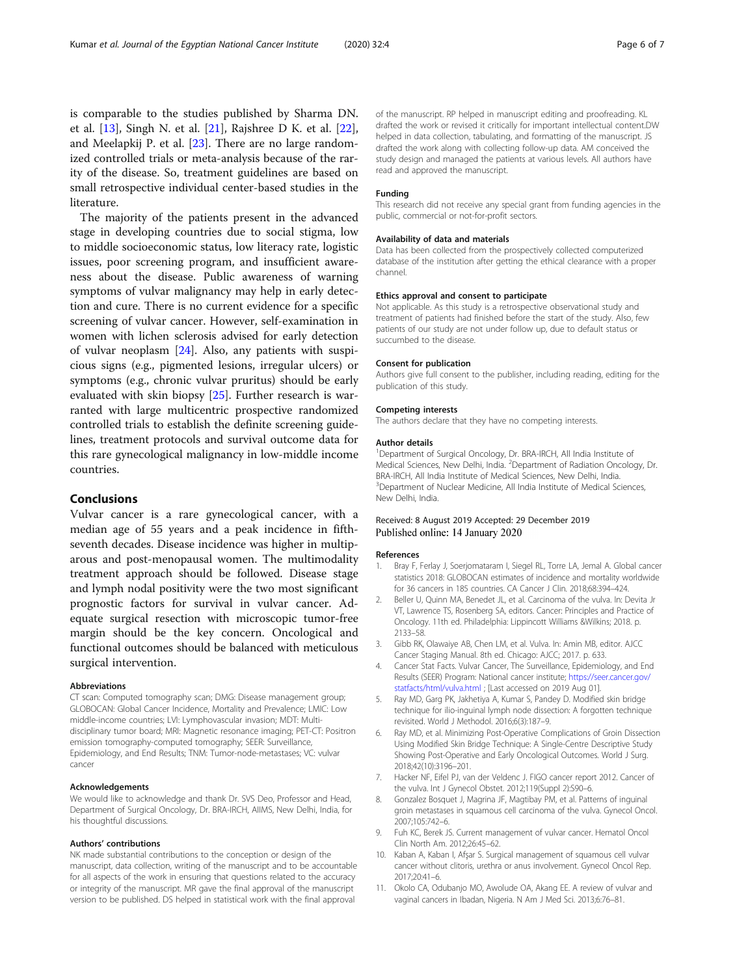<span id="page-5-0"></span>is comparable to the studies published by Sharma DN. et al. [[13](#page-6-0)], Singh N. et al. [[21\]](#page-6-0), Rajshree D K. et al. [\[22](#page-6-0)], and Meelapkij P. et al. [[23\]](#page-6-0). There are no large randomized controlled trials or meta-analysis because of the rarity of the disease. So, treatment guidelines are based on small retrospective individual center-based studies in the literature.

The majority of the patients present in the advanced stage in developing countries due to social stigma, low to middle socioeconomic status, low literacy rate, logistic issues, poor screening program, and insufficient awareness about the disease. Public awareness of warning symptoms of vulvar malignancy may help in early detection and cure. There is no current evidence for a specific screening of vulvar cancer. However, self-examination in women with lichen sclerosis advised for early detection of vulvar neoplasm [[24\]](#page-6-0). Also, any patients with suspicious signs (e.g., pigmented lesions, irregular ulcers) or symptoms (e.g., chronic vulvar pruritus) should be early evaluated with skin biopsy [\[25](#page-6-0)]. Further research is warranted with large multicentric prospective randomized controlled trials to establish the definite screening guidelines, treatment protocols and survival outcome data for this rare gynecological malignancy in low-middle income countries.

### Conclusions

Vulvar cancer is a rare gynecological cancer, with a median age of 55 years and a peak incidence in fifthseventh decades. Disease incidence was higher in multiparous and post-menopausal women. The multimodality treatment approach should be followed. Disease stage and lymph nodal positivity were the two most significant prognostic factors for survival in vulvar cancer. Adequate surgical resection with microscopic tumor-free margin should be the key concern. Oncological and functional outcomes should be balanced with meticulous surgical intervention.

#### Abbreviations

CT scan: Computed tomography scan; DMG: Disease management group; GLOBOCAN: Global Cancer Incidence, Mortality and Prevalence; LMIC: Low middle-income countries; LVI: Lymphovascular invasion; MDT: Multidisciplinary tumor board; MRI: Magnetic resonance imaging; PET-CT: Positron emission tomography-computed tomography; SEER: Surveillance, Epidemiology, and End Results; TNM: Tumor-node-metastases; VC: vulvar cancer

#### Acknowledgements

We would like to acknowledge and thank Dr. SVS Deo, Professor and Head, Department of Surgical Oncology, Dr. BRA-IRCH, AIIMS, New Delhi, India, for his thoughtful discussions.

#### Authors' contributions

NK made substantial contributions to the conception or design of the manuscript, data collection, writing of the manuscript and to be accountable for all aspects of the work in ensuring that questions related to the accuracy or integrity of the manuscript. MR gave the final approval of the manuscript version to be published. DS helped in statistical work with the final approval

of the manuscript. RP helped in manuscript editing and proofreading. KL drafted the work or revised it critically for important intellectual content.DW helped in data collection, tabulating, and formatting of the manuscript. JS drafted the work along with collecting follow-up data. AM conceived the study design and managed the patients at various levels. All authors have read and approved the manuscript.

#### Funding

This research did not receive any special grant from funding agencies in the public, commercial or not-for-profit sectors.

#### Availability of data and materials

Data has been collected from the prospectively collected computerized database of the institution after getting the ethical clearance with a proper channel.

#### Ethics approval and consent to participate

Not applicable. As this study is a retrospective observational study and treatment of patients had finished before the start of the study. Also, few patients of our study are not under follow up, due to default status or succumbed to the disease.

#### Consent for publication

Authors give full consent to the publisher, including reading, editing for the publication of this study.

#### Competing interests

The authors declare that they have no competing interests.

#### Author details

<sup>1</sup>Department of Surgical Oncology, Dr. BRA-IRCH, All India Institute of Medical Sciences, New Delhi, India. <sup>2</sup> Department of Radiation Oncology, Dr. BRA-IRCH, All India Institute of Medical Sciences, New Delhi, India. <sup>3</sup>Department of Nuclear Medicine, All India Institute of Medical Sciences, New Delhi, India.

#### Received: 8 August 2019 Accepted: 29 December 2019 Published online: 14 January 2020

#### References

- 1. Bray F, Ferlay J, Soerjomataram I, Siegel RL, Torre LA, Jemal A. Global cancer statistics 2018: GLOBOCAN estimates of incidence and mortality worldwide for 36 cancers in 185 countries. CA Cancer J Clin. 2018;68:394–424.
- 2. Beller U, Quinn MA, Benedet JL, et al. Carcinoma of the vulva. In: Devita Jr VT, Lawrence TS, Rosenberg SA, editors. Cancer: Principles and Practice of Oncology. 11th ed. Philadelphia: Lippincott Williams &Wilkins; 2018. p. 2133–58.
- 3. Gibb RK, Olawaiye AB, Chen LM, et al. Vulva. In: Amin MB, editor. AJCC Cancer Staging Manual. 8th ed. Chicago: AJCC; 2017. p. 633.
- 4. Cancer Stat Facts. Vulvar Cancer, The Surveillance, Epidemiology, and End Results (SEER) Program: National cancer institute; [https://seer.cancer.gov/](https://seer.cancer.gov/statfacts/html/vulva.html) [statfacts/html/vulva.html](https://seer.cancer.gov/statfacts/html/vulva.html) ; [Last accessed on 2019 Aug 01].
- 5. Ray MD, Garg PK, Jakhetiya A, Kumar S, Pandey D. Modified skin bridge technique for ilio-inguinal lymph node dissection: A forgotten technique revisited. World J Methodol. 2016;6(3):187–9.
- 6. Ray MD, et al. Minimizing Post-Operative Complications of Groin Dissection Using Modified Skin Bridge Technique: A Single-Centre Descriptive Study Showing Post-Operative and Early Oncological Outcomes. World J Surg. 2018;42(10):3196–201.
- 7. Hacker NF, Eifel PJ, van der Veldenc J. FIGO cancer report 2012. Cancer of the vulva. Int J Gynecol Obstet. 2012;119(Suppl 2):S90–6.
- Gonzalez Bosquet J, Magrina JF, Magtibay PM, et al. Patterns of inguinal groin metastases in squamous cell carcinoma of the vulva. Gynecol Oncol. 2007;105:742–6.
- 9. Fuh KC, Berek JS. Current management of vulvar cancer. Hematol Oncol Clin North Am. 2012;26:45–62.
- 10. Kaban A, Kaban I, Afşar S. Surgical management of squamous cell vulvar cancer without clitoris, urethra or anus involvement. Gynecol Oncol Rep. 2017;20:41–6.
- 11. Okolo CA, Odubanjo MO, Awolude OA, Akang EE. A review of vulvar and vaginal cancers in Ibadan, Nigeria. N Am J Med Sci. 2013;6:76–81.